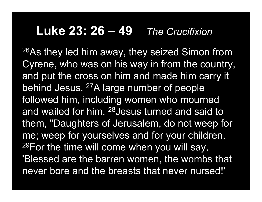## **Luke 23: 26 – 49***The Crucifixion*

26As they led him away, they seized Simon from Cyrene, who was on his way in from the country, and put the cross on him and made him carry it behind Jesus. <sup>27</sup>A large number of people followed him, including women who mourned and wailed for him. 28Jesus turned and said to them, "Daughters of Jerusalem, do not weep for me; weep for yourselves and for your children. 29For the time will come when you will say, 'Blessed are the barren women, the wombs that never bore and the breasts that never nursed!'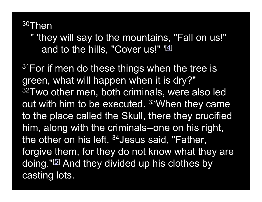30Then

" 'they will say to the mountains, "Fall on us!" and to the hills, "Cover us!"  $[4]$ 

<sup>31</sup>For if men do these things when the tree is green, what will happen when it is dry?" 32Two other men, both criminals, were also led out with him to be executed. 33When they came to the place called the Skull, there they crucified him, along with the criminals--one on his right, the other on his left. <sup>34</sup> Jesus said, "Father, forgive them, for they do not know what they are doing."[5] And they divided up his clothes by casting lots.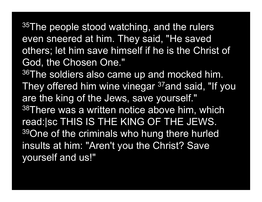$35$ The people stood watching, and the rulers even sneered at him. They said, "He saved others; let him save himself if he is the Christ of God, the Chosen One."

<sup>36</sup>The soldiers also came up and mocked him. They offered him wine vinegar <sup>37</sup>and said, "If you are the king of the Jews, save yourself." 38There was a written notice above him, which read:|sc THIS IS THE KING OF THE JEWS. <sup>39</sup>One of the criminals who hung there hurled insults at him: "Aren't you the Christ? Save yourself and us!"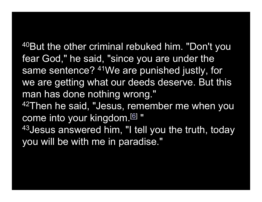40But the other criminal rebuked him. "Don't you fear God," he said, "since you are under the same sentence? 41We are punished justly, for we are getting what our deeds deserve. But this man has done nothing wrong."

42Then he said, "Jesus, remember me when you come into your kingdom.[6] "

<sup>43</sup> Jesus answered him, "I tell you the truth, today you will be with me in paradise."